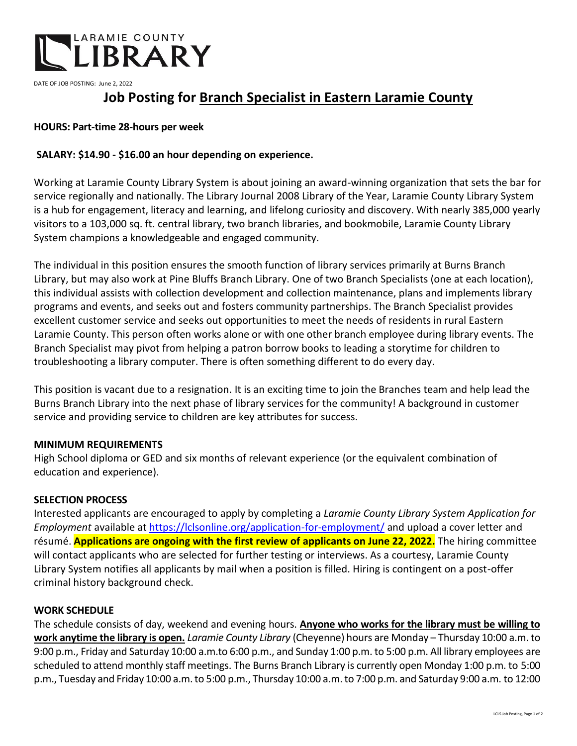

DATE OF JOB POSTING: June 2, 2022

# **Job Posting for Branch Specialist in Eastern Laramie County**

# **HOURS: Part-time 28-hours per week**

# **SALARY: \$14.90 - \$16.00 an hour depending on experience.**

Working at Laramie County Library System is about joining an award-winning organization that sets the bar for service regionally and nationally. The Library Journal 2008 Library of the Year, Laramie County Library System is a hub for engagement, literacy and learning, and lifelong curiosity and discovery. With nearly 385,000 yearly visitors to a 103,000 sq. ft. central library, two branch libraries, and bookmobile, Laramie County Library System champions a knowledgeable and engaged community.

The individual in this position ensures the smooth function of library services primarily at Burns Branch Library, but may also work at Pine Bluffs Branch Library. One of two Branch Specialists (one at each location), this individual assists with collection development and collection maintenance, plans and implements library programs and events, and seeks out and fosters community partnerships. The Branch Specialist provides excellent customer service and seeks out opportunities to meet the needs of residents in rural Eastern Laramie County. This person often works alone or with one other branch employee during library events. The Branch Specialist may pivot from helping a patron borrow books to leading a storytime for children to troubleshooting a library computer. There is often something different to do every day.

This position is vacant due to a resignation. It is an exciting time to join the Branches team and help lead the Burns Branch Library into the next phase of library services for the community! A background in customer service and providing service to children are key attributes for success.

## **MINIMUM REQUIREMENTS**

High School diploma or GED and six months of relevant experience (or the equivalent combination of education and experience).

#### **SELECTION PROCESS**

Interested applicants are encouraged to apply by completing a *Laramie County Library System Application for Employment* available at<https://lclsonline.org/application-for-employment/> and upload a cover letter and résumé. **Applications are ongoing with the first review of applicants on June 22, 2022.** The hiring committee will contact applicants who are selected for further testing or interviews. As a courtesy, Laramie County Library System notifies all applicants by mail when a position is filled. Hiring is contingent on a post-offer criminal history background check.

#### **WORK SCHEDULE**

The schedule consists of day, weekend and evening hours. **Anyone who works for the library must be willing to work anytime the library is open.** *Laramie County Library* (Cheyenne) hours are Monday – Thursday 10:00 a.m. to 9:00 p.m., Friday and Saturday 10:00 a.m.to 6:00 p.m., and Sunday 1:00 p.m. to 5:00 p.m. All library employees are scheduled to attend monthly staff meetings. The Burns Branch Library is currently open Monday 1:00 p.m. to 5:00 p.m., Tuesday and Friday 10:00 a.m.to 5:00 p.m., Thursday 10:00 a.m.to 7:00 p.m. and Saturday 9:00 a.m. to 12:00